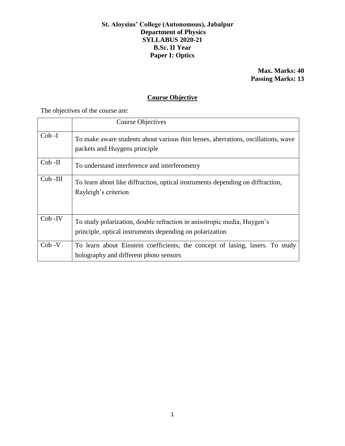## **St. Aloysius' College (Autonomous), Jabalpur Department of Physics SYLLABUS 2020-21 B.Sc. II Year Paper I: Optics**

**Max. Marks: 40 Passing Marks: 13**

# **Course Objective**

The objectives of the course are:

|            | <b>Course Objectives</b>                                                                                                            |
|------------|-------------------------------------------------------------------------------------------------------------------------------------|
| $Cob-I$    | To make aware students about various thin lenses, aberrations, oscillations, wave<br>packets and Huygens principle                  |
| $Cob$ -II  | To understand interference and interferometry                                                                                       |
| $Cob$ -III | To learn about like diffraction, optical instruments depending on diffraction,<br>Rayleigh's criterion                              |
| $Cob$ -IV  | To study polarization, double refraction in anisotropic media, Huygen's<br>principle, optical instruments depending on polarization |
| $Cob -V$   | To learn about Einstein coefficients, the concept of lasing, lasers. To study<br>holography and different photo sensors             |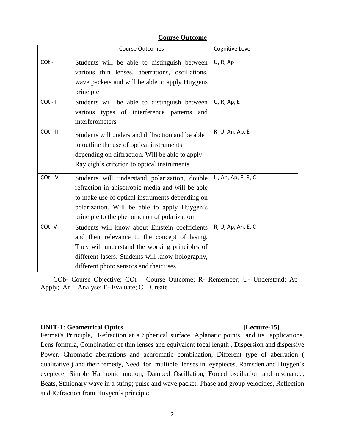|         | <b>Course Outcomes</b>                                                                                                                                                                                                                              | Cognitive Level    |
|---------|-----------------------------------------------------------------------------------------------------------------------------------------------------------------------------------------------------------------------------------------------------|--------------------|
| COt-I   | Students will be able to distinguish between<br>various thin lenses, aberrations, oscillations,<br>wave packets and will be able to apply Huygens<br>principle                                                                                      | U, R, Ap           |
| COt-II  | Students will be able to distinguish between<br>various types of interference patterns<br>and<br>interferometers                                                                                                                                    | U, R, Ap, E        |
| COt-III | Students will understand diffraction and be able<br>to outline the use of optical instruments<br>depending on diffraction. Will be able to apply<br>Rayleigh's criterion to optical instruments                                                     | R, U, An, Ap, E    |
| COt-IV  | Students will understand polarization, double<br>refraction in anisotropic media and will be able<br>to make use of optical instruments depending on<br>polarization. Will be able to apply Huygen's<br>principle to the phenomenon of polarization | U, An, Ap, E, R, C |
| COt-V   | Students will know about Einstein coefficients<br>and their relevance to the concept of lasing.<br>They will understand the working principles of<br>different lasers. Students will know holography,<br>different photo sensors and their uses     | R, U, Ap, An, E, C |

## **Course Outcome**

COb- Course Objective; COt – Course Outcome; R- Remember; U- Understand; Ap – Apply; An – Analyse; E- Evaluate; C – Create

### **UNIT-1: Geometrical Optics [Lecture-15]**

Fermat's Principle, Refraction at a Spherical surface, Aplanatic points and its applications, Lens formula, Combination of thin lenses and equivalent focal length , Dispersion and dispersive Power, Chromatic aberrations and achromatic combination, Different type of aberration ( qualitative ) and their remedy, Need for multiple lenses in eyepieces, Ramsden and Huygen's eyepiece; Simple Harmonic motion, Damped Oscillation, Forced oscillation and resonance, Beats, Stationary wave in a string; pulse and wave packet: Phase and group velocities, Reflection and Refraction from Huygen's principle.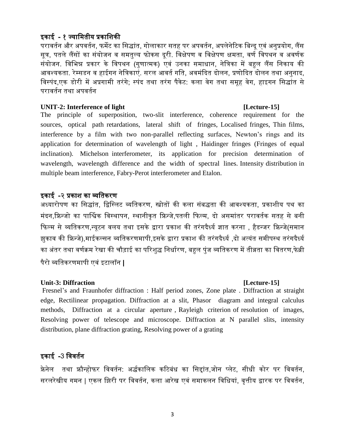# इकाई - १ ज्याममतीय प्रकामिकी

परावर्तन और अपवर्तन, फर्मेट का सिद्धांत, गोलाकार सतह पर अपवर्तन, अपलेनेटिक बिन्दू एवं अनुप्रयोग, लैंस सूत्र, पतले लैंसों का संयोजन व समतुल्य फोकस दूरी. विक्षेपण व विक्षेपण क्षमता, वर्ण विपथन व अवर्णक संयोजन. विभिन्न प्रकार के विपथन (गुणात्मक) एवं उनका समाधान, नेत्रिका में बहुल लैंस निकाय की आवश्यकता. रेम्सडन व हाईगन नेत्रिकाएं. सरल आवर्त गति, अवमंदित दोलन, प्रणोदित दोलन तथा अनुनाद, विस्पंद,एक डोरी में अप्रगामी तरंगे; स्पंद तथा तरंग पैकेट: कला वेग तथा समूह वेग, हाइगन सिद्धांत से परावततन तथा अपवततन

### **UNIT-2: Interference of light [Lecture-15]**

The principle of superposition, two-slit interference, coherence requirement for the sources, optical path retardations, lateral shift of fringes, Localised fringes, Thin films, interference by a film with two non-parallel reflecting surfaces, Newton's rings and its application for determination of wavelength of light , Haidinger fringes (Fringes of equal inclination). Michelson interferometer, its application for precision determination of wavelength, wavelength difference and the width of spectral lines. Intensity distribution in multiple beam interference, Fabry-Perot interferometer and Etalon.

## इकाई -२ प्रकाश का व्यतिकरण

अध्यारोपण का सिद्धांत, द्विस्लिट व्यतिकरण, स्त्रोतों की कला संबद्धता की आवश्यकता, प्रकाशीय पथ का मंदन,फ्रिन्जो का पार्श्विक विस्थापन, स्थानीकृत फ्रिन्जे,पतली फिल्म, दो असमांतर परावर्तक सतह से बनी फिल्म से व्यतिकरण,न्यूटन वलय तथा इसके द्वारा प्रकाश की तरंगदैर्ध्य ज्ञात करना , हैडन्जर फ्रिन्जे(समान झुकाव की फ्रिन्जे),माईकल्सन व्यतिकरणमापी,इसके द्वारा प्रकाश की तरंगदैर्ध्य ,दो अत्यंत समीपस्थ तरंगदैर्ध्य का अंतर तथा वर्णक्रम रेखा की चौड़ाई का परिशुद्ध निर्धारण, बहुल पुंज व्यतिकरण में तीव्रता का वितरण,फेब्री पैरो व्यमतकरणमापी एवां इटालॉन |

## **Unit-3: Diffraction [Lecture-15]**

Fresnel's and Fraunhofer diffraction : Half period zones, Zone plate . Diffraction at straight edge, Rectilinear propagation. Diffraction at a slit, Phasor diagram and integral calculus methods, Diffraction at a circular aperture , Rayleigh criterion of resolution of images, Resolving power of telescope and microscope. Diffraction at N parallel slits, intensity distribution, plane diffraction grating, Resolving power of a grating

# इकाई -3 मववततन

फ्रेनेल तथा फ्रौन्होफर विवर्तन: अर्द्धकालिक कटिबंध का सिद्दांत,जोन प्लेट, सीधी कोर पर विवर्तन, सरलरेखीय गमन | एकल झिरी पर विवर्तन, कला आरेख एवं समाकलन विधियां, वृत्तीय द्वारक पर विवर्तन,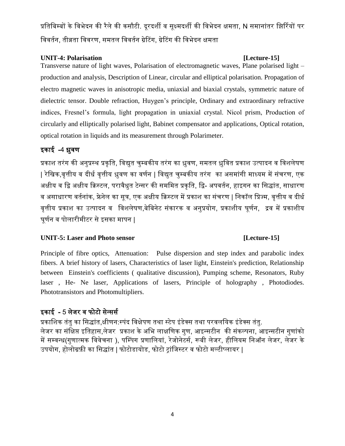प्रतिबिम्बों के विभेदन की रैले की कसौटी. दूरदर्शी व सुक्ष्मदर्शी की विभेदन क्षमता, N समानांतर झिर्रियों पर विवर्तन, तीव्रता विवरण, समतल विवर्तन ग्रेटिंग, ग्रेटिंग की विभेदन क्षमता

## **UNIT-4: Polarisation [Lecture-15]**

Transverse nature of light waves, Polarisation of electromagnetic waves, Plane polarised light – production and analysis, Description of Linear, circular and elliptical polarisation. Propagation of electro magnetic waves in anisotropic media, uniaxial and biaxial crystals, symmetric nature of dielectric tensor. Double refraction, Huygen's principle, Ordinary and extraordinary refractive indices, Fresnel's formula, light propagation in uniaxial crystal. Nicol prism, Production of circularly and elliptically polarised light, Babinet compensator and applications, Optical rotation, optical rotation in liquids and its measurement through Polarimeter.

# इकाई -4 ध्रुवण

प्रकाश तरंग की अनुप्रस्थ प्रकृति, विद्युत चुम्बकीय तरंग का ध्रुवण, समतल ध्रुवित प्रकाश उत्पादन व विशलेषण | रेखिक,वृत्तीय व दीर्ध वृत्तीय ध्रुवण का वर्णन | विद्युत चुम्बकीय तरंग का असमांगी माध्यम में संचरण, एक अक्षीय व द्वि अक्षीय क्रिस्टल, परावैधुत टेन्सर की सममित प्रकृति, द्वि- अपवर्तन, हाइगन का सिद्धांत, साधारण व असाधारण वर्तनांक, फ्रेनेल का सुत्र, एक अक्षीय क्रिस्टल में प्रकाश का संचरण | निकॉल प्रिज्म, वृत्तीय व दीर्ध वृत्तीय प्रकाश का उत्पादन व विशलेषण,बेबिनेट संकारक व अनुप्रयोग, प्रकाशीय घूर्णन, द्रव में प्रकाशीय घूर्णन व पोलारीमीटर से इसका मापन |

# **UNIT-5: Laser and Photo sensor [Lecture-15]**

Principle of fibre optics, Attenuation: Pulse dispersion and step index and parabolic index fibers. A brief history of lasers, Characteristics of laser light, Einstein's prediction, Relationship between Einstein's coefficients ( qualitative discussion), Pumping scheme, Resonators, Ruby laser , He- Ne laser, Applications of lasers, Principle of holography , Photodiodes. Phototransistors and Photomultipliers.

# इकाई - 5 लेजर व फोटो सेन्सर्स

प्रकाशिक तंतु का सिद्धांत,क्षीणन:स्पंद विक्षेपण तथा स्टेप इंडेक्स तथा परवलयिक इंडेक्स तंतु. लेजर का संक्षिप्त इतिहास,लेजर प्रकाश के अभि लाक्षणिक गुण, आइन्सटीन की संकल्पना, आइन्सटीन गुणांको में सम्वन्ध(गुणात्मक विवेचना ), पम्पिंग प्रणालियां, रेजोनेटर्स, रूबी लेजर, हीलियम निऑन लेजर, लेजर के उपयोग, होलोग्रफ़ी का सिद्धांत | फोटोडायोड, फोटो ट्रांजिस्टर व फोटो मल्टीप्लायर |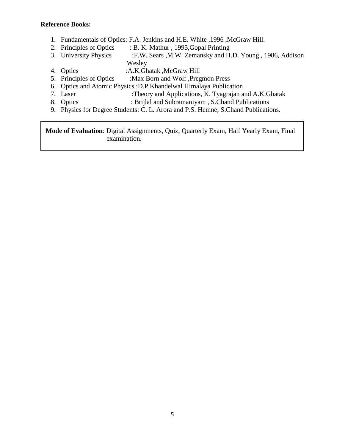### **Reference Books:**

- 1. Fundamentals of Optics: F.A. Jenkins and H.E. White ,1996 ,McGraw Hill.
- 2. Principles of Optics : B. K. Mathur, 1995, Gopal Printing
- 3. University Physics :F.W. Sears ,M.W. Zemansky and H.D. Young , 1986, Addison Wesley
- 4. Optics :A.K.Ghatak ,McGraw Hill<br>5. Principles of Optics :Max Born and Wolf ,Preg
- :Max Born and Wolf ,Pregmon Press
- 6. Optics and Atomic Physics :D.P.Khandelwal Himalaya Publication
- 7. Laser :Theory and Applications, K. Tyagrajan and A.K.Ghatak
- 8. Optics : Brijlal and Subramaniyam , S.Chand Publications
- 9. Physics for Degree Students: C. L. Arora and P.S. Hemne, S.Chand Publications.

 **Mode of Evaluation**: Digital Assignments, Quiz, Quarterly Exam, Half Yearly Exam, Final examination.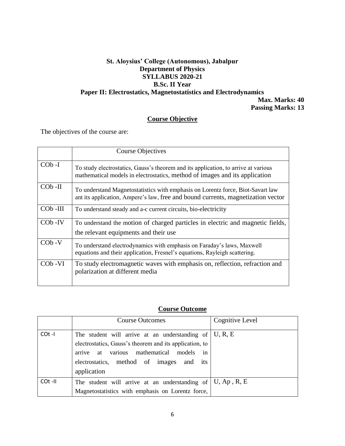# **St. Aloysius' College (Autonomous), Jabalpur Department of Physics SYLLABUS 2020-21 B.Sc. II Year Paper II: Electrostatics, Magnetostatistics and Electrodynamics Max. Marks: 40**

 **Passing Marks: 13**

# **Course Objective**

The objectives of the course are:

|            | Course Objectives                                                                                                                                                   |
|------------|---------------------------------------------------------------------------------------------------------------------------------------------------------------------|
| $COb-I$    | To study electrostatics, Gauss's theorem and its application, to arrive at various<br>mathematical models in electrostatics, method of images and its application   |
| $COb$ -II  | To understand Magnetostatistics with emphasis on Lorentz force, Biot-Savart law<br>ant its application, Ampere's law, free and bound currents, magnetization vector |
| $COb$ -III | To understand steady and a-c current circuits, bio-electricity                                                                                                      |
| $COb$ -IV  | To understand the motion of charged particles in electric and magnetic fields,<br>the relevant equipments and their use                                             |
| $COb -V$   | To understand electrodynamics with emphasis on Faraday's laws, Maxwell<br>equations and their application, Fresnel's equations, Rayleigh scattering.                |
| $COb -VI$  | To study electromagnetic waves with emphasis on, reflection, refraction and<br>polarization at different media                                                      |

## **Course Outcome**

|         | <b>Course Outcomes</b>                                                                                                                                                                                                 | Cognitive Level |
|---------|------------------------------------------------------------------------------------------------------------------------------------------------------------------------------------------------------------------------|-----------------|
| COt -I  | The student will arrive at an understanding of<br>electrostatics, Gauss's theorem and its application, to<br>arrive at various mathematical<br>models<br>in<br>electrostatics, method of images and its<br>application | U, R, E         |
| COt -II | The student will arrive at an understanding of $ U, Ap, R, E$<br>Magnetostatistics with emphasis on Lorentz force,                                                                                                     |                 |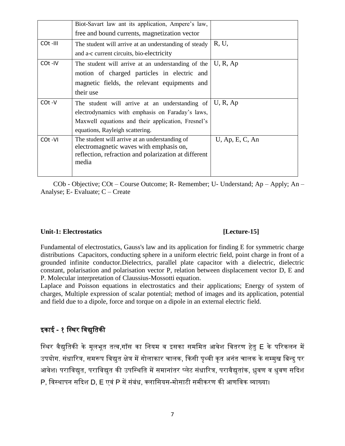|         | Biot-Savart law ant its application, Ampere's law,            |                    |
|---------|---------------------------------------------------------------|--------------------|
|         | free and bound currents, magnetization vector                 |                    |
| COt-III | The student will arrive at an understanding of steady         | R, U,              |
|         | and a-c current circuits, bio-electricity                     |                    |
| COt-IV  | The student will arrive at an understanding of the            | U, R, Ap           |
|         | motion of charged particles in electric and                   |                    |
|         | magnetic fields, the relevant equipments and                  |                    |
|         | their use                                                     |                    |
| COt-V   | The student will arrive at an understanding of                | U, R, Ap           |
|         | electrodynamics with emphasis on Faraday's laws,              |                    |
|         | Maxwell equations and their application, Fresnel's            |                    |
|         | equations, Rayleigh scattering.                               |                    |
| COt-VI  | The student will arrive at an understanding of                | $U$ , Ap, E, C, An |
|         | electromagnetic waves with emphasis on,                       |                    |
|         | reflection, refraction and polarization at different<br>media |                    |
|         |                                                               |                    |
|         |                                                               |                    |

COb - Objective; COt – Course Outcome; R- Remember; U- Understand; Ap – Apply; An – Analyse; E- Evaluate; C – Create

### Unit-1: Electrostatics [Lecture-15]

Fundamental of electrostatics, Gauss's law and its application for finding E for symmetric charge distributions Capacitors, conducting sphere in a uniform electric field, point charge in front of a grounded infinite conductor.Dielectrics, parallel plate capacitor with a dielectric, dielectric constant, polarisation and polarisation vector P, relation between displacement vector D, E and P. Molecular interpretation of Claussius-Mossotti equation.

Laplace and Poisson equations in electrostatics and their applications; Energy of system of charges, Multiple expression of scalar potential; method of images and its application, potential and field due to a dipole, force and torque on a dipole in an external electric field.

# इकाई - १ स्थिर विद्युतिकी

स्थिर वैद्युतिकी के मूलभूत तत्व,गॉस का नियम व इसका सममित आवेश वितरण हेतु E के परिकलन में उपयोग. संधारित्र, समरूप विद्युत क्षेत्र में गोलाकार चालक, किसी पृथ्वी कृत अनंत चालक के सम्मुख बिन्दु पर आवेश। पराविद्युत, पराविद्युत की उपस्थिति में समानांतर प्लेट संधारित्र, परावैद्युतांक, ध्रुवण व धुवण सदिश P, विस्थापन सदिश D, E एवं P में संबंध, क्लासियस-मोसाटी समीकरण की आणविक व्याख्या।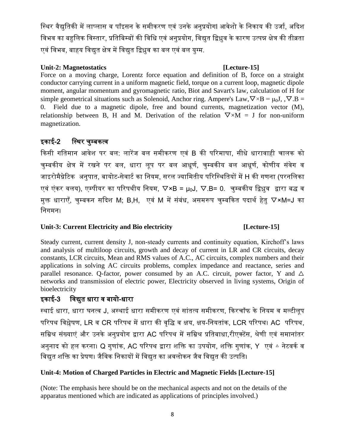स्थिर वैद्युतिकी में लाप्लास व पॉइसन के समीकरण एवं उनके अनुप्रयोगl आवेशो के निकाय की उर्जा, अदिश विभव का बहुलिक विस्तार, प्रतिबिम्बों की विधि एवं अनुप्रयोग, विद्युत द्विध्रुव के कारण उत्पन्न क्षेत्र की तीव्रता एवं विभब, बाहय विद्युत क्षेत्र में विद्युत द्विध्रुव का बल एवं बल युग्म.

# **Unit-2: Magnetostatics [Lecture-15]**

Force on a moving charge, Lorentz force equation and definition of B, force on a straight conductor carrying current in a uniform magnetic field, torque on a current loop, magnetic dipole moment, angular momentum and gyromagnetic ratio, Biot and Savart's law, calculation of H for simple geometrical situations such as Solenoid, Anchor ring. Ampere's Law,  $\nabla \times B = \mu_0 J$ ,  $\nabla B =$ 0. Field due to a magnetic dipole, free and bound currents, magnetization vector (M), relationship between B, H and M. Derivation of the relation  $\nabla \times M = J$  for non-uniform magnetization.

# इकाई-2 मस्थर चुम्बकत्व

किसी गतिमान आवेश पर बल: लारेंज बल समीकरण एवं B की परिमाषा, सीधे धारावाही चालक को चम्बकीय क्षेत्र में रखने पर बल, धारा लुप पर बल आधुर्ण, चम्बकीय बल आधुर्ण, कोणीय संवेग व जाइरोमैग्नेटिक अनुपात, बायोट-सेवार्ट का नियम, सरल ज्यामितीय परिस्थितियों में H की गणना (परनलिका एवं एंकर वलय), एम्पीयर का परिपथीय नियम,  $\nabla \times B = \mu_0 J$ ,  $\nabla.B = 0$ . चुम्बकीय द्विध्नुव द्वारा बद्ध व मुक्त धाराएँ, चुम्बकन सदिश M; B,H, एवं M में संबंध, असमरूप चुम्बकित पदार्थ हेतु  $\nabla\times$ M=J का निगमन।

# Unit-3: Current Electricity and Bio electricity **[Lecture-15]**

Steady current, current density J, non-steady currents and continuity equation, Kirchoff's laws and analysis of multiloop circuits, growth and decay of current in LR and CR circuits, decay constants, LCR circuits, Mean and RMS values of A.C., AC circuits, complex numbers and their applications in solving AC circuits problems, complex impedance and reactance, series and parallel resonance. Q-factor, power consumed by an A.C. circuit, power factor, Y and  $\Delta$ networks and transmission of electric power, Electricity observed in living systems, Origin of bioelectricity

# इकाई-3 मवद्युत धारा व बायो-धारा

स्थाई धारा, धारा घनत्व J, अस्थाई धारा समीकरण एवं सांतत्य समीकरण, किरचॉफ के नियम व मल्टीलूप परिपथ विश्लेषण, LR व CR परिपथ में धारा की वृद्धि व क्षय, क्षय-नियतांक, LCR परिपथ। AC परिपथ, सम्रिश्र संख्याएं और उनके अनुप्रयोग द्वारा AC परिपथ में सम्रिश्र प्रतिबाधा,रीएक्टेंस, श्रेणी एवं समानांतर अनुनाद को हल करना। Q गुणांक, AC परिपथ द्वारा शक्ति का उपयोग, शक्ति गुणांक, Y एवं △ नेटवर्क व विद्युत शक्ति का प्रेषण। जैविक निकायों में विद्युत का अवलोकन जैव विद्युत की उत्पति।

# **Unit-4: Motion of Charged Particles in Electric and Magnetic Fields [Lecture-15]**

(Note: The emphasis here should be on the mechanical aspects and not on the details of the apparatus mentioned which are indicated as applications of principles involved.)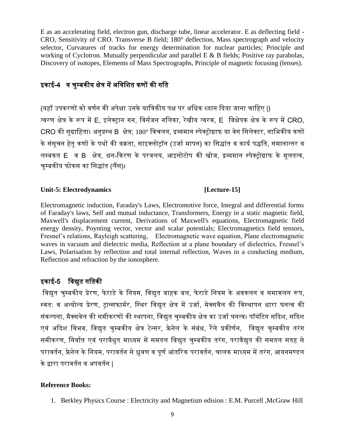E as an accelerating field, electron gun, discharge tube, linear accelerator. E as deflecting field - CRO, Sensitivity of CRO. Transverse B field; 180° deflection, Mass spectrograph and velocity selector, Curvatures of tracks for energy determination for nuclear particles; Principle and working of Cyclotron. Mutually perpendicular and parallel E & B fields; Positive ray parabolas, Discovery of isotopes, Elements of Mass Spectrographs, Principle of magnetic focusing (lenses).

# इकाई-4 व चुम्बकीय क्षेत्र में अविशित कणों की गति

(यहाँउपकरणों को वणतन की अपेक्षा उनकेयामत्रकीय पक्ष पर अमधक ध्यान ददया जाना चामहए |) त्वरण क्षेत्र केरूप मेंE, इलेक्ट्ान गन, मवितजन नमलका, रेखीय त्वरक, E मवक्षेपक क्षेत्र केरूप मेंCRO, CRO की सुग्राहिता। अनुप्रस्थ B क्षेत्र; 180° विचलन, द्रव्यमान स्पेक्ट्रोग्राफ या वेग सिलेक्टर, नाभिकीय कणों के संसुचन हेतु कणों के पथों की वक्रता, साइक्लोट्ॉन (उर्जा मापन) का सिद्धांत व कार्य पद्धति, समानान्तर व लम्बकत E व B क्षेत्र, धन-दकरण के परवलय, आइिोटोप की खोज, द्रव्यमान स्पेक्ट्ोग्राफ के मूलतत्व, चम्बकीय फोकस का सिद्धांत (लैंस)।

### **Unit-5: Electrodynamics [Lecture-15]**

Electromagnetic induction, Faraday's Laws, Electromotive force, Integral and differential forms of Faraday's laws, Self and mutual inductance, Transformers, Energy in a static magnetic field, Maxwell's displacement current, Derivations of Maxwell's equations, Electromagnetic field energy density, Poynting vector, vector and scalar potentials; Electromagnetics field tensors, Fresnel's relations, Rayleigh scattering, Electromagnetic wave equation, Plane electromagnetic waves in vacuum and dielectric media, Reflection at a plane boundary of dielectrics, Fresnel's Laws, Polarisation by reflection and total internal reflection, Waves in a conducting medium, Reflection and refraction by the ionosphere.

# इकाई-5 मवद्युत गमतकी

विद्युत चुम्बकीय प्रेरण, फेराडे के नियम, विद्युत बाहक बल, फेराडे नियम के अवकलन व समाकलन रूप, स्वत: व अन्योन्य प्रेरण, ट्रान्सफार्मर, स्थिर विद्युत क्षेत्र में उर्जा, मेक्सवैल की विस्थापन धारा घनत्व की संकल्पना, मैक्सवेल की समीकरणों की स्थापना, विद्युत चुम्बकीय क्षेत्र का उर्जा घनत्व। पॉयंटिग सदिश, सदिश एवं अदिश विभब, विद्युत चुम्बकीय क्षेत्र टेन्सर, फ्रेनेल के संबंध, रेले प्रकीर्णन, विद्युत चुम्बकीय तरंग समीकरण, निर्वात एवं परावैधुत माध्यम में समतल विद्युत चुम्बकीय तरंग, परावैद्युत की समतल सतह से परावर्तन, फ्रेनेल के नियम, परावर्तन से ध्रुवण व पूर्ण आंतरिक परावर्तन, चालक माध्यम में तरंग, आयनमण्डल के द्वारा परावर्तन व अपवर्तन I

## **Reference Books:**

1. Berkley Physics Course : Electricity and Magnetism edision : E.M. Purcell ,McGraw Hill